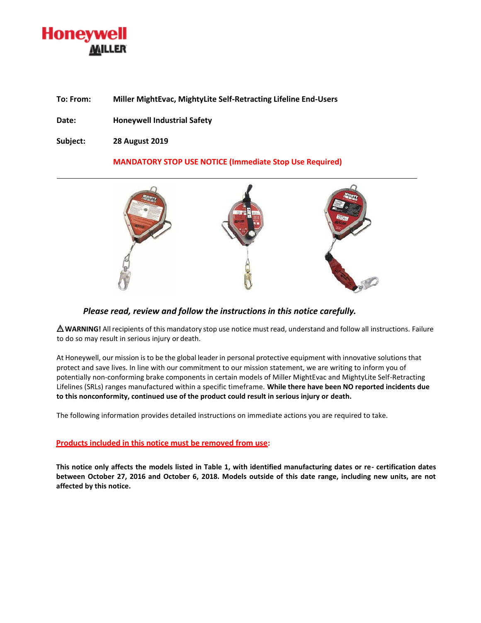# **Honeywell** MILLER

**To: From: Miller MightEvac, MightyLite Self-Retracting Lifeline End-Users** 

**Date: Honeywell Industrial Safety**

**Subject: 28 August 2019**

# **MANDATORY STOP USE NOTICE (Immediate Stop Use Required)**



# *Please read, review and follow the instructions in this notice carefully.*

**WARNING!** All recipients of this mandatory stop use notice must read, understand and follow all instructions. Failure to do so may result in serious injury or death.

At Honeywell, our mission isto be the global leader in personal protective equipment with innovative solutions that protect and save lives. In line with our commitment to our mission statement, we are writing to inform you of potentially non-conforming brake components in certain models of Miller MightEvac and MightyLite Self-Retracting Lifelines (SRLs) ranges manufactured within a specific timeframe. **While there have been NO reported incidents due to this nonconformity, continued use of the product could result in serious injury or death.**

The following information provides detailed instructions on immediate actions you are required to take.

### **Products included in this notice must be removed from use:**

**This notice only affects the models listed in Table 1, with identified manufacturing dates or re- certification dates between October 27, 2016 and October 6, 2018. Models outside of this date range, including new units, are not affected by this notice.**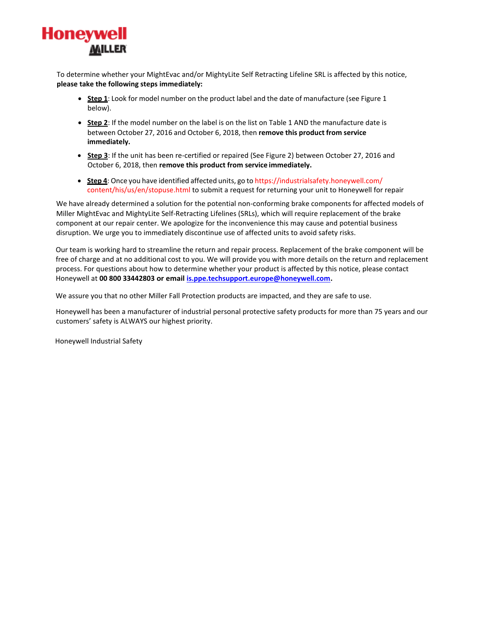

To determine whether your MightEvac and/or MightyLite Self Retracting Lifeline SRL is affected by this notice, **please take the following steps immediately:**

- **Step 1**: Look for model number on the product label and the date of manufacture (see Figure 1 below).
- **Step 2**: If the model number on the label is on the list on Table 1 AND the manufacture date is between October 27, 2016 and October 6, 2018, then **remove this product from service immediately.**
- **Step 3**: If the unit has been re-certified or repaired (See Figure 2) between October 27, 2016 and October 6, 2018, then **remove this product from service immediately.**
- **Step 4**: Once you have identified affected units, go to [https://industrialsafety.honeywell.com/](https://industrialsafety.honeywell.com/content/his/us/en/stopuse.html) [content/his/us/en/stopuse.html t](https://industrialsafety.honeywell.com/content/his/us/en/stopuse.html)o submit a request for returning your unit to Honeywell for repair

We have already determined a solution for the potential non-conforming brake components for affected models of Miller MightEvac and MightyLite Self-Retracting Lifelines (SRLs), which will require replacement of the brake component at our repair center. We apologize for the inconvenience this may cause and potential business disruption. We urge you to immediately discontinue use of affected units to avoid safety risks.

Our team is working hard to streamline the return and repair process. Replacement of the brake component will be free of charge and at no additional cost to you. We will provide you with more details on the return and replacement process. For questions about how to determine whether your product is affected by this notice, please contact Honeywell at **00 800 33442803 or emai[l is.ppe.techsupport.europe@honeywell.com.](mailto:is.ppe.techsupport.europe@honeywell.com)** 

We assure you that no other Miller Fall Protection products are impacted, and they are safe to use.

Honeywell has been a manufacturer of industrial personal protective safety products for more than 75 years and our customers' safety is ALWAYS our highest priority.

Honeywell Industrial Safety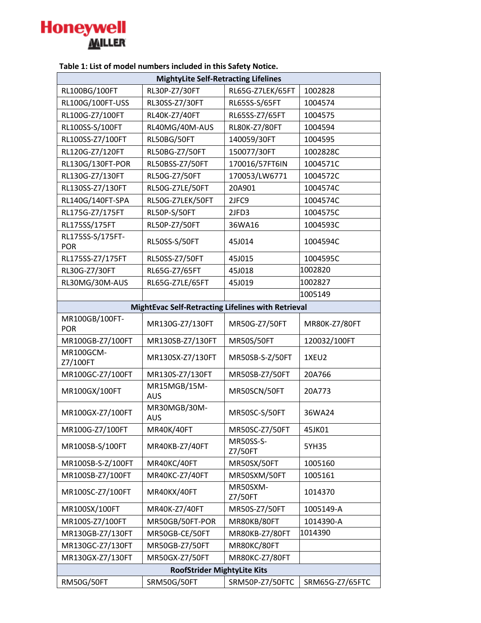

| rable 1. List of modernambers included in this safety notice. |                            |                      |                 |  |  |
|---------------------------------------------------------------|----------------------------|----------------------|-----------------|--|--|
| <b>MightyLite Self-Retracting Lifelines</b>                   |                            |                      |                 |  |  |
| RL100BG/100FT                                                 | RL30P-Z7/30FT              | RL65G-Z7LEK/65FT     | 1002828         |  |  |
| RL100G/100FT-USS                                              | RL30SS-Z7/30FT             | RL65SS-S/65FT        | 1004574         |  |  |
| RL100G-Z7/100FT                                               | RL40K-Z7/40FT              | RL65SS-Z7/65FT       | 1004575         |  |  |
| RL100SS-S/100FT                                               | RL40MG/40M-AUS             | RL80K-Z7/80FT        | 1004594         |  |  |
| RL100SS-Z7/100FT                                              | RL50BG/50FT                | 140059/30FT          | 1004595         |  |  |
| RL120G-Z7/120FT                                               | RL50BG-Z7/50FT             | 150077/30FT          | 1002828C        |  |  |
| RL130G/130FT-POR                                              | RL50BSS-Z7/50FT            | 170016/57FT6IN       | 1004571C        |  |  |
| RL130G-Z7/130FT                                               | RL50G-Z7/50FT              | 170053/LW6771        | 1004572C        |  |  |
| RL130SS-Z7/130FT                                              | RL50G-Z7LE/50FT            | 20A901               | 1004574C        |  |  |
| RL140G/140FT-SPA                                              | RL50G-Z7LEK/50FT           | 2JFC9                | 1004574C        |  |  |
| RL175G-Z7/175FT                                               | <b>RL50P-S/50FT</b>        | 2JFD3                | 1004575C        |  |  |
| RL175SS/175FT                                                 | RL50P-Z7/50FT              | 36WA16               | 1004593C        |  |  |
| RL175SS-S/175FT-<br><b>POR</b>                                | <b>RL50SS-S/50FT</b>       | 45J014               | 1004594C        |  |  |
| RL175SS-Z7/175FT                                              | RL50SS-Z7/50FT             | 45J015               | 1004595C        |  |  |
| RL30G-Z7/30FT                                                 | RL65G-Z7/65FT              | 45J018               | 1002820         |  |  |
| RL30MG/30M-AUS                                                | RL65G-Z7LE/65FT            | 45J019               | 1002827         |  |  |
|                                                               |                            |                      | 1005149         |  |  |
| MightEvac Self-Retracting Lifelines with Retrieval            |                            |                      |                 |  |  |
| MR100GB/100FT-<br><b>POR</b>                                  | MR130G-Z7/130FT            | MR50G-Z7/50FT        | MR80K-Z7/80FT   |  |  |
| MR100GB-Z7/100FT                                              | MR130SB-Z7/130FT           | <b>MR50S/50FT</b>    | 120032/100FT    |  |  |
| MR100GCM-<br>Z7/100FT                                         | MR130SX-Z7/130FT           | MR50SB-S-Z/50FT      | 1XEU2           |  |  |
| MR100GC-Z7/100FT                                              | MR130S-Z7/130FT            | MR50SB-Z7/50FT       | 20A766          |  |  |
| MR100GX/100FT                                                 | MR15MGB/15M-<br><b>AUS</b> | MR50SCN/50FT         | 20A773          |  |  |
| MR100GX-Z7/100FT                                              | MR30MGB/30M-<br>AUS        | MR50SC-S/50FT        | 36WA24          |  |  |
| MR100G-Z7/100FT                                               | MR40K/40FT                 | MR50SC-Z7/50FT       | 45JK01          |  |  |
| MR100SB-S/100FT                                               | MR40KB-Z7/40FT             | MR50SS-S-<br>Z7/50FT | 5YH35           |  |  |
| MR100SB-S-Z/100FT                                             | MR40KC/40FT                | MR50SX/50FT          | 1005160         |  |  |
| MR100SB-Z7/100FT                                              | MR40KC-Z7/40FT             | MR50SXM/50FT         | 1005161         |  |  |
| MR100SC-Z7/100FT                                              | MR40KX/40FT                | MR50SXM-<br>Z7/50FT  | 1014370         |  |  |
| MR100SX/100FT                                                 | MR40K-Z7/40FT              | MR50S-Z7/50FT        | 1005149-A       |  |  |
| MR100S-Z7/100FT                                               | MR50GB/50FT-POR            | MR80KB/80FT          | 1014390-A       |  |  |
| MR130GB-Z7/130FT                                              | MR50GB-CE/50FT             | MR80KB-Z7/80FT       | 1014390         |  |  |
| MR130GC-Z7/130FT                                              | MR50GB-Z7/50FT             | MR80KC/80FT          |                 |  |  |
| MR130GX-Z7/130FT                                              | MR50GX-Z7/50FT             | MR80KC-Z7/80FT       |                 |  |  |
| <b>RoofStrider MightyLite Kits</b>                            |                            |                      |                 |  |  |
| <b>RM50G/50FT</b>                                             | SRM50G/50FT                | SRM50P-Z7/50FTC      | SRM65G-Z7/65FTC |  |  |

**Table 1: List of model numbers included in this Safety Notice.**